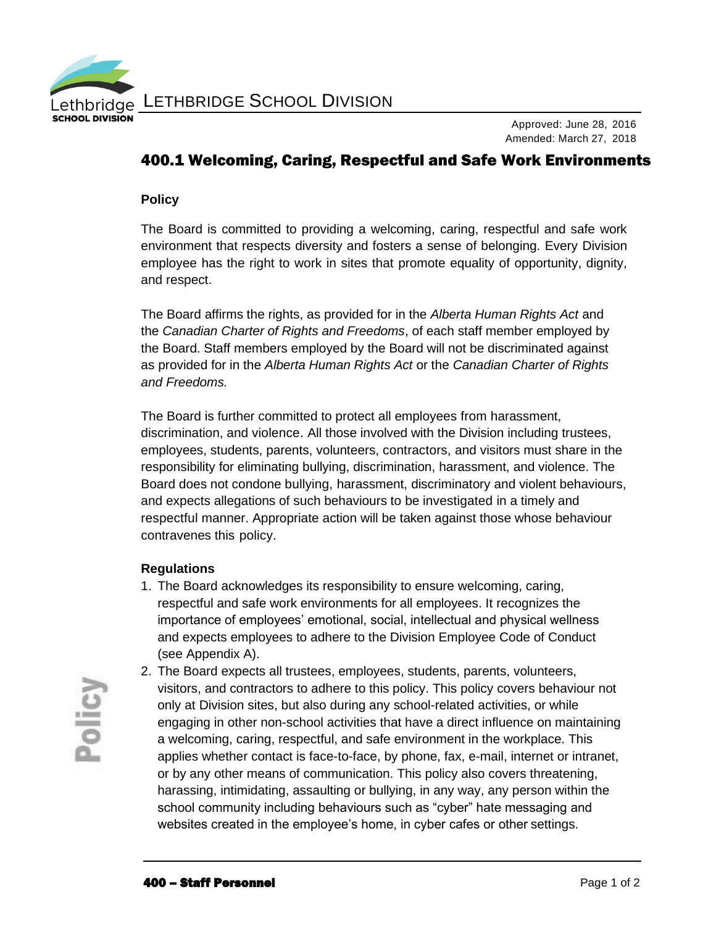

Approved: June 28, 2016 Amended: March 27, 2018

# 400.1 Welcoming, Caring, Respectful and Safe Work Environments

### **Policy**

The Board is committed to providing a welcoming, caring, respectful and safe work environment that respects diversity and fosters a sense of belonging. Every Division employee has the right to work in sites that promote equality of opportunity, dignity, and respect.

The Board affirms the rights, as provided for in the *Alberta Human Rights Act* and the *Canadian Charter of Rights and Freedoms*, of each staff member employed by the Board. Staff members employed by the Board will not be discriminated against as provided for in the *Alberta Human Rights Act* or the *Canadian Charter of Rights and Freedoms.*

The Board is further committed to protect all employees from harassment, discrimination, and violence. All those involved with the Division including trustees, employees, students, parents, volunteers, contractors, and visitors must share in the responsibility for eliminating bullying, discrimination, harassment, and violence. The Board does not condone bullying, harassment, discriminatory and violent behaviours, and expects allegations of such behaviours to be investigated in a timely and respectful manner. Appropriate action will be taken against those whose behaviour contravenes this policy.

### **Regulations**

1. The Board acknowledges its responsibility to ensure welcoming, caring, respectful and safe work environments for all employees. It recognizes the importance of employees' emotional, social, intellectual and physical wellness and expects employees to adhere to the Division Employee Code of Conduct (see Appendix A).

2. The Board expects all trustees, employees, students, parents, volunteers, visitors, and contractors to adhere to this policy. This policy covers behaviour not only at Division sites, but also during any school-related activities, or while engaging in other non-school activities that have a direct influence on maintaining a welcoming, caring, respectful, and safe environment in the workplace. This applies whether contact is face-to-face, by phone, fax, e-mail, internet or intranet, or by any other means of communication. This policy also covers threatening, harassing, intimidating, assaulting or bullying, in any way, any person within the school community including behaviours such as "cyber" hate messaging and websites created in the employee's home, in cyber cafes or other settings.